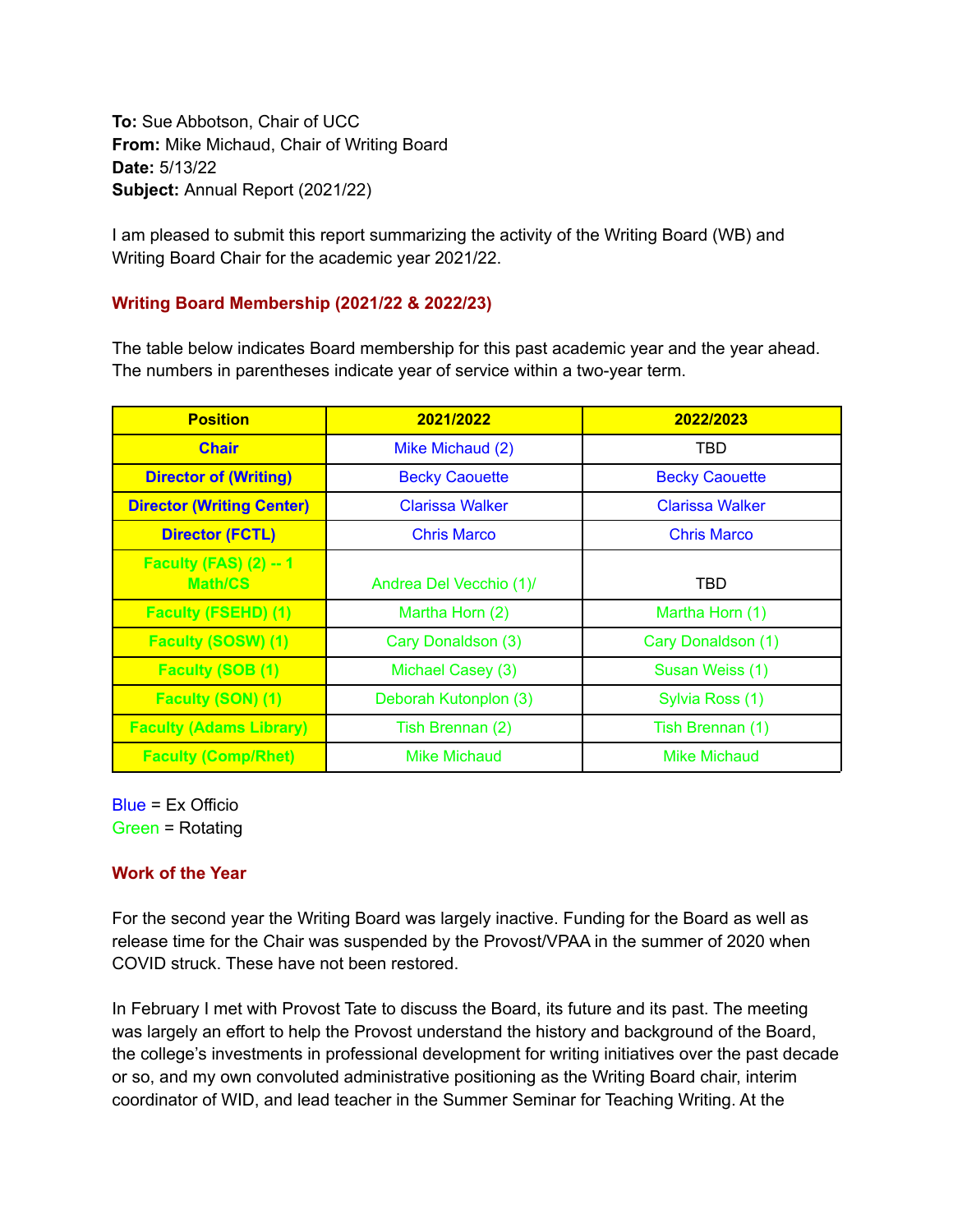**To:** Sue Abbotson, Chair of UCC **From:** Mike Michaud, Chair of Writing Board **Date:** 5/13/22 **Subject:** Annual Report (2021/22)

I am pleased to submit this report summarizing the activity of the Writing Board (WB) and Writing Board Chair for the academic year 2021/22.

## **Writing Board Membership (2021/22 & 2022/23)**

The table below indicates Board membership for this past academic year and the year ahead. The numbers in parentheses indicate year of service within a two-year term.

| <b>Position</b>                           | 2021/2022               | 2022/2023              |
|-------------------------------------------|-------------------------|------------------------|
| <b>Chair</b>                              | Mike Michaud (2)        | TBD                    |
| <b>Director of (Writing)</b>              | <b>Becky Caouette</b>   | <b>Becky Caouette</b>  |
| <b>Director (Writing Center)</b>          | <b>Clarissa Walker</b>  | <b>Clarissa Walker</b> |
| <b>Director (FCTL)</b>                    | <b>Chris Marco</b>      | <b>Chris Marco</b>     |
| Faculty (FAS) $(2) - 1$<br><b>Math/CS</b> | Andrea Del Vecchio (1)/ | <b>TBD</b>             |
| <b>Faculty (FSEHD) (1)</b>                | Martha Horn (2)         | Martha Horn (1)        |
| <b>Faculty (SOSW) (1)</b>                 | Cary Donaldson (3)      | Cary Donaldson (1)     |
| <b>Faculty (SOB (1)</b>                   | Michael Casey (3)       | Susan Weiss (1)        |
| <b>Faculty (SON) (1)</b>                  | Deborah Kutonplon (3)   | Sylvia Ross (1)        |
| <b>Faculty (Adams Library)</b>            | Tish Brennan (2)        | Tish Brennan (1)       |
| <b>Faculty (Comp/Rhet)</b>                | <b>Mike Michaud</b>     | <b>Mike Michaud</b>    |

Blue = Ex Officio Green = Rotating

## **Work of the Year**

For the second year the Writing Board was largely inactive. Funding for the Board as well as release time for the Chair was suspended by the Provost/VPAA in the summer of 2020 when COVID struck. These have not been restored.

In February I met with Provost Tate to discuss the Board, its future and its past. The meeting was largely an effort to help the Provost understand the history and background of the Board, the college's investments in professional development for writing initiatives over the past decade or so, and my own convoluted administrative positioning as the Writing Board chair, interim coordinator of WID, and lead teacher in the Summer Seminar for Teaching Writing. At the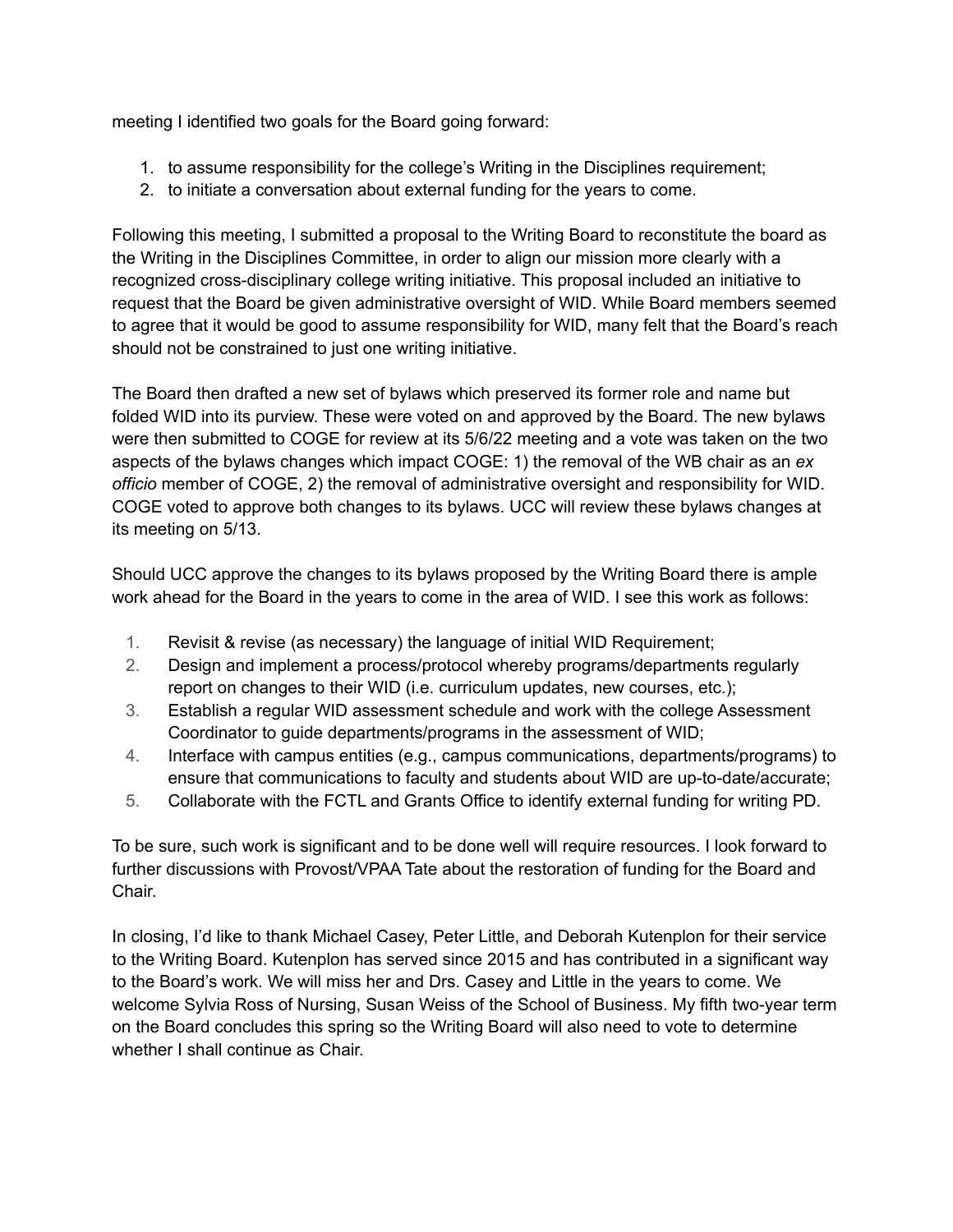meeting I identified two goals for the Board going forward:

- 1. to assume responsibility for the college's Writing in the Disciplines requirement;
- 2. to initiate a conversation about external funding for the years to come.

Following this meeting, I submitted a proposal to the Writing Board to reconstitute the board as the Writing in the Disciplines Committee, in order to align our mission more clearly with a recognized cross-disciplinary college writing initiative. This proposal included an initiative to request that the Board be given administrative oversight of WID. While Board members seemed to agree that it would be good to assume responsibility for WID, many felt that the Board's reach should not be constrained to just one writing initiative.

The Board then drafted a new set of bylaws which preserved its former role and name but folded WID into its purview. These were voted on and approved by the Board. The new bylaws were then submitted to COGE for review at its 5/6/22 meeting and a vote was taken on the two aspects of the bylaws changes which impact COGE: 1) the removal of the WB chair as an *ex officio* member of COGE, 2) the removal of administrative oversight and responsibility for WID. COGE voted to approve both changes to its bylaws. UCC will review these bylaws changes at its meeting on 5/13.

Should UCC approve the changes to its bylaws proposed by the Writing Board there is ample work ahead for the Board in the years to come in the area of WID. I see this work as follows:

- 1. Revisit & revise (as necessary) the language of initial WID Requirement;
- 2. Design and implement a process/protocol whereby programs/departments regularly report on changes to their WID (i.e. curriculum updates, new courses, etc.);
- 3. Establish a regular WID assessment schedule and work with the college Assessment Coordinator to guide departments/programs in the assessment of WID;
- 4. Interface with campus entities (e.g., campus communications, departments/programs) to ensure that communications to faculty and students about WID are up-to-date/accurate;
- 5. Collaborate with the FCTL and Grants Office to identify external funding for writing PD.

To be sure, such work is significant and to be done well will require resources. I look forward to further discussions with Provost/VPAA Tate about the restoration of funding for the Board and Chair.

In closing, I'd like to thank Michael Casey, Peter Little, and Deborah Kutenplon for their service to the Writing Board. Kutenplon has served since 2015 and has contributed in a significant way to the Board's work. We will miss her and Drs. Casey and Little in the years to come. We welcome Sylvia Ross of Nursing, Susan Weiss of the School of Business. My fifth two-year term on the Board concludes this spring so the Writing Board will also need to vote to determine whether I shall continue as Chair.